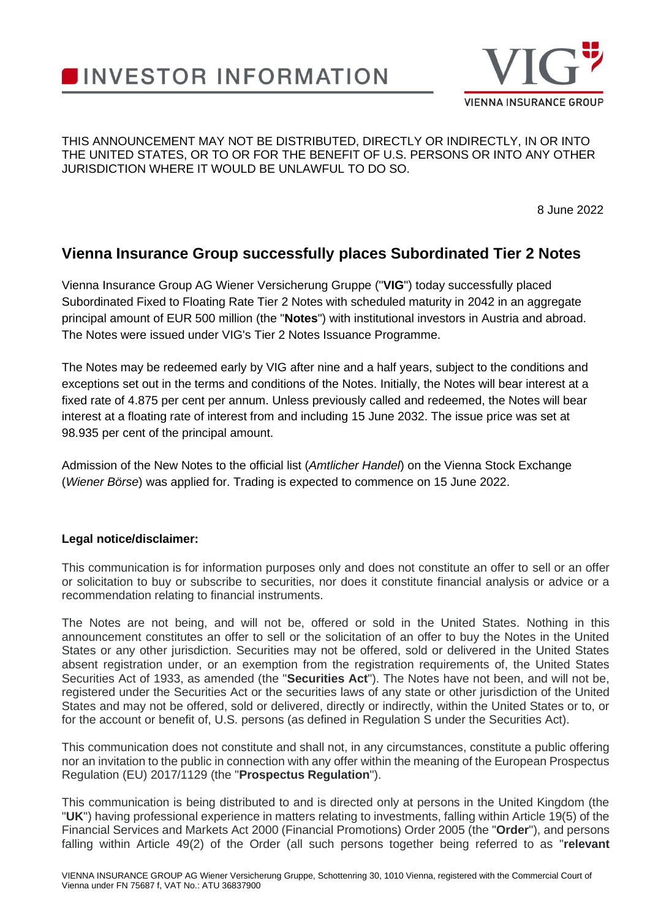## **INVESTOR INFORMATION**



## THIS ANNOUNCEMENT MAY NOT BE DISTRIBUTED, DIRECTLY OR INDIRECTLY, IN OR INTO THE UNITED STATES, OR TO OR FOR THE BENEFIT OF U.S. PERSONS OR INTO ANY OTHER JURISDICTION WHERE IT WOULD BE UNLAWFUL TO DO SO.

8 June 2022

## **Vienna Insurance Group successfully places Subordinated Tier 2 Notes**

Vienna Insurance Group AG Wiener Versicherung Gruppe ("**VIG**") today successfully placed Subordinated Fixed to Floating Rate Tier 2 Notes with scheduled maturity in 2042 in an aggregate principal amount of EUR 500 million (the "**Notes**") with institutional investors in Austria and abroad. The Notes were issued under VIG's Tier 2 Notes Issuance Programme.

The Notes may be redeemed early by VIG after nine and a half years, subject to the conditions and exceptions set out in the terms and conditions of the Notes. Initially, the Notes will bear interest at a fixed rate of 4.875 per cent per annum. Unless previously called and redeemed, the Notes will bear interest at a floating rate of interest from and including 15 June 2032. The issue price was set at 98.935 per cent of the principal amount.

Admission of the New Notes to the official list (*Amtlicher Handel*) on the Vienna Stock Exchange (*Wiener Börse*) was applied for. Trading is expected to commence on 15 June 2022.

## **Legal notice/disclaimer:**

This communication is for information purposes only and does not constitute an offer to sell or an offer or solicitation to buy or subscribe to securities, nor does it constitute financial analysis or advice or a recommendation relating to financial instruments.

The Notes are not being, and will not be, offered or sold in the United States. Nothing in this announcement constitutes an offer to sell or the solicitation of an offer to buy the Notes in the United States or any other jurisdiction. Securities may not be offered, sold or delivered in the United States absent registration under, or an exemption from the registration requirements of, the United States Securities Act of 1933, as amended (the "**Securities Act**"). The Notes have not been, and will not be, registered under the Securities Act or the securities laws of any state or other jurisdiction of the United States and may not be offered, sold or delivered, directly or indirectly, within the United States or to, or for the account or benefit of, U.S. persons (as defined in Regulation S under the Securities Act).

This communication does not constitute and shall not, in any circumstances, constitute a public offering nor an invitation to the public in connection with any offer within the meaning of the European Prospectus Regulation (EU) 2017/1129 (the "**Prospectus Regulation**").

This communication is being distributed to and is directed only at persons in the United Kingdom (the "**UK**") having professional experience in matters relating to investments, falling within Article 19(5) of the Financial Services and Markets Act 2000 (Financial Promotions) Order 2005 (the "**Order**"), and persons falling within Article 49(2) of the Order (all such persons together being referred to as "**relevant**